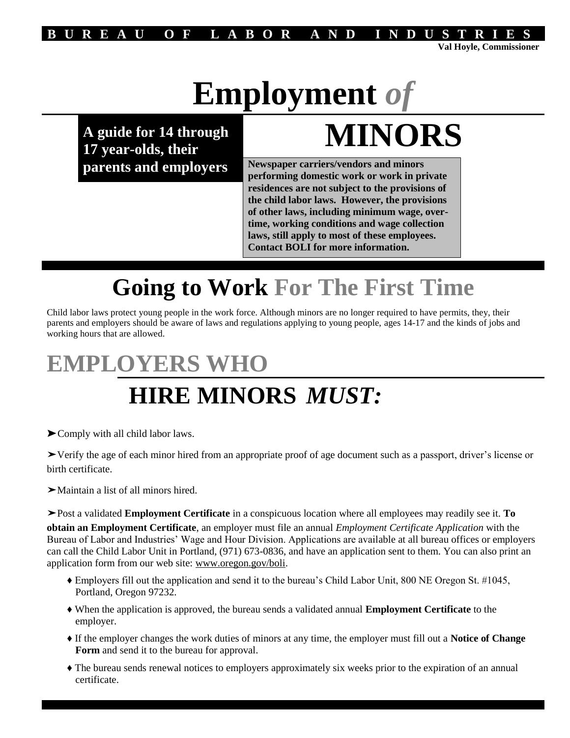

# **Employment** *of*

**A guide for 14 through**

# **17 year-olds, their MINORS**

**parents and employers Newspaper carriers/vendors and minors performing domestic work or work in private residences are not subject to the provisions of the child labor laws. However, the provisions of other laws, including minimum wage, overtime, working conditions and wage collection laws, still apply to most of these employees. Contact BOLI for more information.**

## **Going to Work For The First Time**

Child labor laws protect young people in the work force. Although minors are no longer required to have permits, they, their parents and employers should be aware of laws and regulations applying to young people, ages 14-17 and the kinds of jobs and working hours that are allowed.

## **EMPLOYERS WHO**

### **HIRE MINORS** *MUST:*

➤Comply with all child labor laws.

➤Verify the age of each minor hired from an appropriate proof of age document such as a passport, driver's license or birth certificate.

➤Maintain a list of all minors hired.

➤Post a validated **Employment Certificate** in a conspicuous location where all employees may readily see it. **To obtain an Employment Certificate**, an employer must file an annual *Employment Certificate Application* with the Bureau of Labor and Industries' Wage and Hour Division. Applications are available at all bureau offices or employers can call the Child Labor Unit in Portland, (971) 673-0836, and have an application sent to them. You can also print an application form from our web site: www.oregon.gov/boli.

- ♦ Employers fill out the application and send it to the bureau's Child Labor Unit, 800 NE Oregon St. #1045, Portland, Oregon 97232.
- ♦ When the application is approved, the bureau sends a validated annual **Employment Certificate** to the employer.
- ♦ If the employer changes the work duties of minors at any time, the employer must fill out a **Notice of Change Form** and send it to the bureau for approval.
- ♦ The bureau sends renewal notices to employers approximately six weeks prior to the expiration of an annual certificate.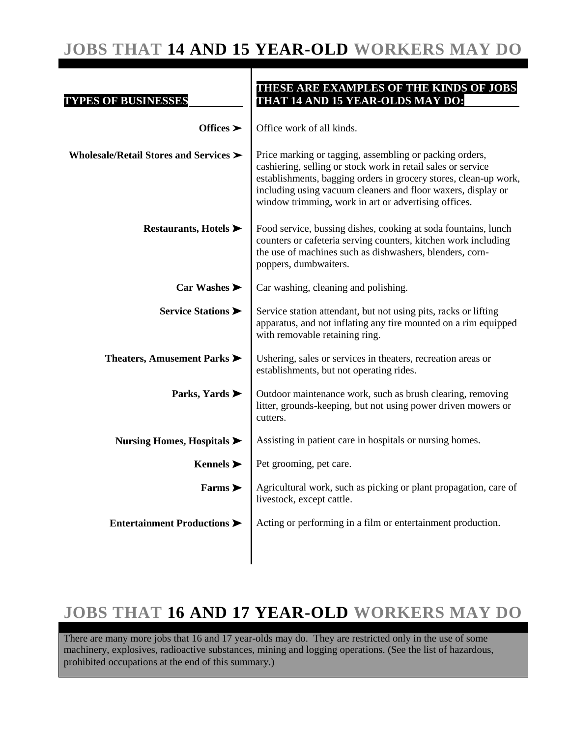### **JOBS THAT 14 AND 15 YEAR-OLD WORKERS MAY DO**

| <b>TYPES OF BUSINESSES</b>                     | THESE ARE EXAMPLES OF THE KINDS OF JOBS<br>THAT 14 AND 15 YEAR-OLDS MAY DO:                                                                                                                                                                                                                                         |
|------------------------------------------------|---------------------------------------------------------------------------------------------------------------------------------------------------------------------------------------------------------------------------------------------------------------------------------------------------------------------|
| Offices $\blacktriangleright$                  | Office work of all kinds.                                                                                                                                                                                                                                                                                           |
| Wholesale/Retail Stores and Services >         | Price marking or tagging, assembling or packing orders,<br>cashiering, selling or stock work in retail sales or service<br>establishments, bagging orders in grocery stores, clean-up work,<br>including using vacuum cleaners and floor waxers, display or<br>window trimming, work in art or advertising offices. |
| Restaurants, Hotels $\blacktriangleright$      | Food service, bussing dishes, cooking at soda fountains, lunch<br>counters or cafeteria serving counters, kitchen work including<br>the use of machines such as dishwashers, blenders, corn-<br>poppers, dumbwaiters.                                                                                               |
| Car Washes                                     | Car washing, cleaning and polishing.                                                                                                                                                                                                                                                                                |
| Service Stations                               | Service station attendant, but not using pits, racks or lifting<br>apparatus, and not inflating any tire mounted on a rim equipped<br>with removable retaining ring.                                                                                                                                                |
| Theaters, Amusement Parks                      | Ushering, sales or services in theaters, recreation areas or<br>establishments, but not operating rides.                                                                                                                                                                                                            |
| Parks, Yards                                   | Outdoor maintenance work, such as brush clearing, removing<br>litter, grounds-keeping, but not using power driven mowers or<br>cutters.                                                                                                                                                                             |
| Nursing Homes, Hospitals $\blacktriangleright$ | Assisting in patient care in hospitals or nursing homes.                                                                                                                                                                                                                                                            |
| Kennels $\blacktriangleright$                  | Pet grooming, pet care.                                                                                                                                                                                                                                                                                             |
| Farms $\blacktriangleright$                    | Agricultural work, such as picking or plant propagation, care of<br>livestock, except cattle.                                                                                                                                                                                                                       |
| Entertainment Productions                      | Acting or performing in a film or entertainment production.                                                                                                                                                                                                                                                         |
|                                                |                                                                                                                                                                                                                                                                                                                     |

### **JOBS THAT 16 AND 17 YEAR-OLD WORKERS MAY DO**

There are many more jobs that 16 and 17 year-olds may do. They are restricted only in the use of some machinery, explosives, radioactive substances, mining and logging operations. (See the list of hazardous, prohibited occupations at the end of this summary.)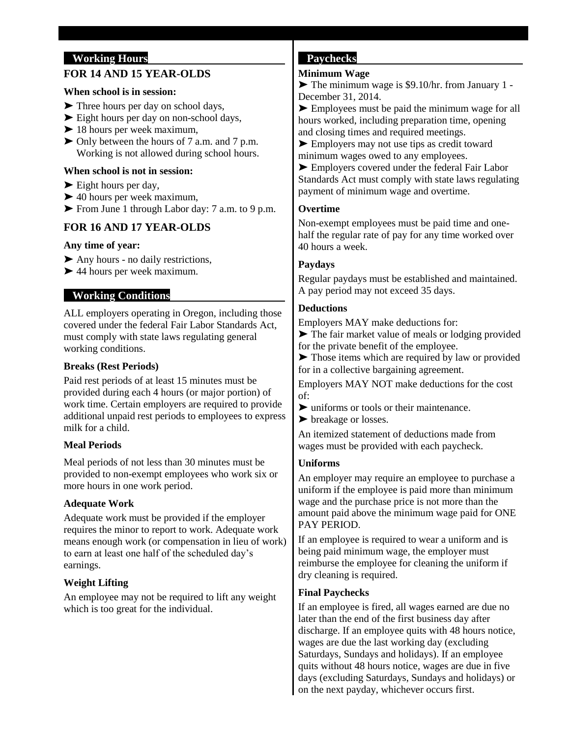#### **Working Hours**

#### **FOR 14 AND 15 YEAR-OLDS**

#### **When school is in session:**

- ➤ Three hours per day on school days,
- ➤ Eight hours per day on non-school days,
- ➤ 18 hours per week maximum,
- ➤ Only between the hours of 7 a.m. and 7 p.m. Working is not allowed during school hours.

#### **When school is not in session:**

- ► Eight hours per day,
- $\blacktriangleright$  40 hours per week maximum,
- ➤ From June 1 through Labor day: 7 a.m. to 9 p.m.

#### **FOR 16 AND 17 YEAR-OLDS**

#### **Any time of year:**

- ➤ Any hours no daily restrictions,
- ➤ 44 hours per week maximum.

#### **Working Conditions**

ALL employers operating in Oregon, including those covered under the federal Fair Labor Standards Act, must comply with state laws regulating general working conditions.

#### **Breaks (Rest Periods)**

Paid rest periods of at least 15 minutes must be provided during each 4 hours (or major portion) of work time. Certain employers are required to provide additional unpaid rest periods to employees to express milk for a child.

#### **Meal Periods**

Meal periods of not less than 30 minutes must be provided to non-exempt employees who work six or more hours in one work period.

#### **Adequate Work**

Adequate work must be provided if the employer requires the minor to report to work. Adequate work means enough work (or compensation in lieu of work) to earn at least one half of the scheduled day's earnings.

#### **Weight Lifting**

An employee may not be required to lift any weight which is too great for the individual.

#### **Paychecks**

#### **Minimum Wage**

➤ The minimum wage is \$9.10/hr. from January 1 - December 31, 2014.

► Employees must be paid the minimum wage for all hours worked, including preparation time, opening and closing times and required meetings.

➤ Employers may not use tips as credit toward minimum wages owed to any employees.

► Employers covered under the federal Fair Labor Standards Act must comply with state laws regulating payment of minimum wage and overtime.

#### **Overtime**

Non-exempt employees must be paid time and onehalf the regular rate of pay for any time worked over 40 hours a week.

#### **Paydays**

Regular paydays must be established and maintained. A pay period may not exceed 35 days.

#### **Deductions**

Employers MAY make deductions for:

➤ The fair market value of meals or lodging provided for the private benefit of the employee.

➤ Those items which are required by law or provided for in a collective bargaining agreement.

Employers MAY NOT make deductions for the cost of:

➤ uniforms or tools or their maintenance.

➤ breakage or losses.

An itemized statement of deductions made from wages must be provided with each paycheck.

#### **Uniforms**

An employer may require an employee to purchase a uniform if the employee is paid more than minimum wage and the purchase price is not more than the amount paid above the minimum wage paid for ONE PAY PERIOD.

If an employee is required to wear a uniform and is being paid minimum wage, the employer must reimburse the employee for cleaning the uniform if dry cleaning is required.

#### **Final Paychecks**

If an employee is fired, all wages earned are due no later than the end of the first business day after discharge. If an employee quits with 48 hours notice, wages are due the last working day (excluding Saturdays, Sundays and holidays). If an employee quits without 48 hours notice, wages are due in five days (excluding Saturdays, Sundays and holidays) or on the next payday, whichever occurs first.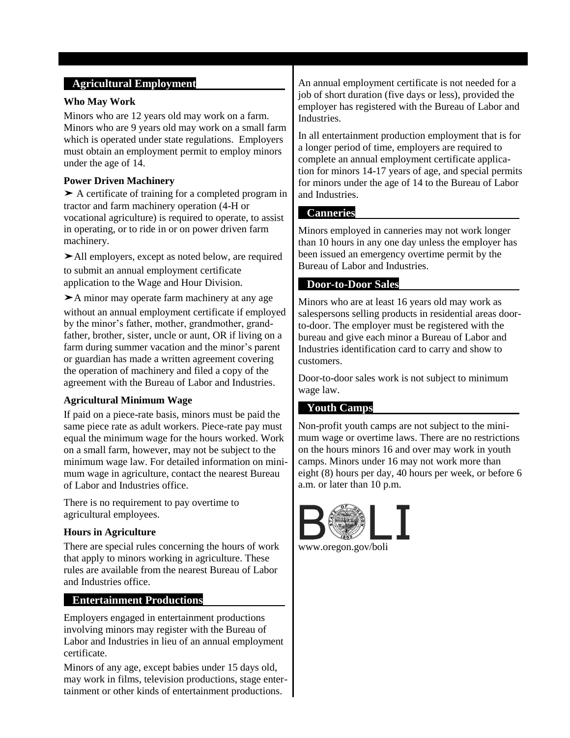#### **Agricultural Employment**

#### **Who May Work**

Minors who are 12 years old may work on a farm. Minors who are 9 years old may work on a small farm which is operated under state regulations. Employers must obtain an employment permit to employ minors under the age of 14.

#### **Power Driven Machinery**

➤ A certificate of training for a completed program in tractor and farm machinery operation (4-H or vocational agriculture) is required to operate, to assist in operating, or to ride in or on power driven farm machinery.

➤All employers, except as noted below, are required to submit an annual employment certificate application to the Wage and Hour Division.

➤A minor may operate farm machinery at any age without an annual employment certificate if employed by the minor's father, mother, grandmother, grandfather, brother, sister, uncle or aunt, OR if living on a farm during summer vacation and the minor's parent or guardian has made a written agreement covering the operation of machinery and filed a copy of the agreement with the Bureau of Labor and Industries.

#### **Agricultural Minimum Wage**

If paid on a piece-rate basis, minors must be paid the same piece rate as adult workers. Piece-rate pay must equal the minimum wage for the hours worked. Work on a small farm, however, may not be subject to the minimum wage law. For detailed information on minimum wage in agriculture, contact the nearest Bureau of Labor and Industries office.

There is no requirement to pay overtime to agricultural employees.

#### **Hours in Agriculture**

There are special rules concerning the hours of work that apply to minors working in agriculture. These rules are available from the nearest Bureau of Labor and Industries office.

#### **Entertainment Productions**

Employers engaged in entertainment productions involving minors may register with the Bureau of Labor and Industries in lieu of an annual employment certificate.

Minors of any age, except babies under 15 days old, may work in films, television productions, stage entertainment or other kinds of entertainment productions.

An annual employment certificate is not needed for a job of short duration (five days or less), provided the employer has registered with the Bureau of Labor and Industries.

In all entertainment production employment that is for a longer period of time, employers are required to complete an annual employment certificate application for minors 14-17 years of age, and special permits for minors under the age of 14 to the Bureau of Labor and Industries.

#### **Canneries**

Minors employed in canneries may not work longer than 10 hours in any one day unless the employer has been issued an emergency overtime permit by the Bureau of Labor and Industries.

#### **Door-to-Door Sales**

Minors who are at least 16 years old may work as salespersons selling products in residential areas doorto-door. The employer must be registered with the bureau and give each minor a Bureau of Labor and Industries identification card to carry and show to customers.

Door-to-door sales work is not subject to minimum wage law.

#### **Youth Camps**

Non-profit youth camps are not subject to the minimum wage or overtime laws. There are no restrictions on the hours minors 16 and over may work in youth camps. Minors under 16 may not work more than eight (8) hours per day, 40 hours per week, or before 6 a.m. or later than 10 p.m.



www.oregon.gov/boli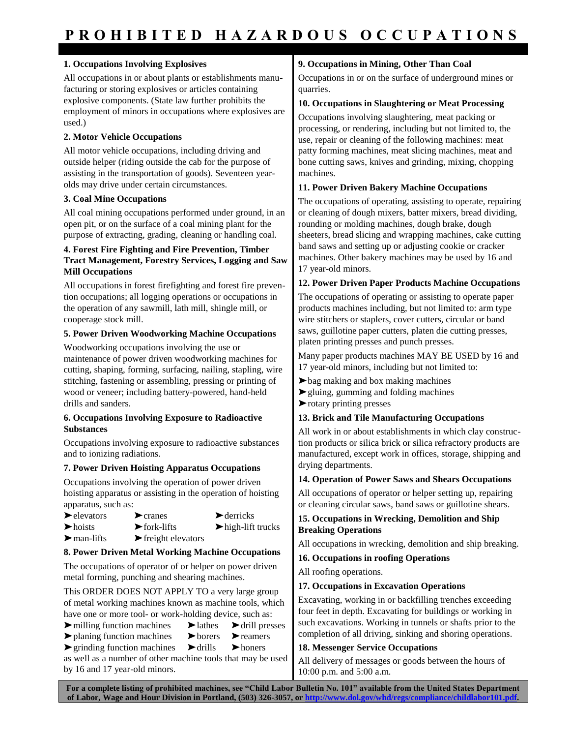#### **1. Occupations Involving Explosives**

All occupations in or about plants or establishments manufacturing or storing explosives or articles containing explosive components. (State law further prohibits the employment of minors in occupations where explosives are used.)

#### **2. Motor Vehicle Occupations**

All motor vehicle occupations, including driving and outside helper (riding outside the cab for the purpose of assisting in the transportation of goods). Seventeen yearolds may drive under certain circumstances.

#### **3. Coal Mine Occupations**

All coal mining occupations performed under ground, in an open pit, or on the surface of a coal mining plant for the purpose of extracting, grading, cleaning or handling coal.

#### **4. Forest Fire Fighting and Fire Prevention, Timber Tract Management, Forestry Services, Logging and Saw Mill Occupations**

All occupations in forest firefighting and forest fire prevention occupations; all logging operations or occupations in the operation of any sawmill, lath mill, shingle mill, or cooperage stock mill.

#### **5. Power Driven Woodworking Machine Occupations**

Woodworking occupations involving the use or maintenance of power driven woodworking machines for cutting, shaping, forming, surfacing, nailing, stapling, wire stitching, fastening or assembling, pressing or printing of wood or veneer; including battery-powered, hand-held drills and sanders.

#### **6. Occupations Involving Exposure to Radioactive Substances**

Occupations involving exposure to radioactive substances and to ionizing radiations.

#### **7. Power Driven Hoisting Apparatus Occupations**

Occupations involving the operation of power driven hoisting apparatus or assisting in the operation of hoisting apparatus, such as:

- ➤elevators ➤cranes ➤ derricks  $\triangleright$  hoists  $\triangleright$  fork-lifts  $\triangleright$  high-lift trucks
- $\blacktriangleright$  man-lifts  $\blacktriangleright$  freight elevators

#### **8. Power Driven Metal Working Machine Occupations**

The occupations of operator of or helper on power driven metal forming, punching and shearing machines.

This ORDER DOES NOT APPLY TO a very large group of metal working machines known as machine tools, which have one or more tool- or work-holding device, such as:

- ➤milling function machines ➤lathes ➤drill presses
- ➤planing function machines ➤borers ➤reamers
	-
- ➤grinding function machines ➤drills ➤honers

as well as a number of other machine tools that may be used by 16 and 17 year-old minors.

#### **9. Occupations in Mining, Other Than Coal**

Occupations in or on the surface of underground mines or quarries.

#### **10. Occupations in Slaughtering or Meat Processing**

Occupations involving slaughtering, meat packing or processing, or rendering, including but not limited to, the use, repair or cleaning of the following machines: meat patty forming machines, meat slicing machines, meat and bone cutting saws, knives and grinding, mixing, chopping machines.

#### **11. Power Driven Bakery Machine Occupations**

The occupations of operating, assisting to operate, repairing or cleaning of dough mixers, batter mixers, bread dividing, rounding or molding machines, dough brake, dough sheeters, bread slicing and wrapping machines, cake cutting band saws and setting up or adjusting cookie or cracker machines. Other bakery machines may be used by 16 and 17 year-old minors.

#### **12. Power Driven Paper Products Machine Occupations**

The occupations of operating or assisting to operate paper products machines including, but not limited to: arm type wire stitchers or staplers, cover cutters, circular or band saws, guillotine paper cutters, platen die cutting presses, platen printing presses and punch presses.

Many paper products machines MAY BE USED by 16 and 17 year-old minors, including but not limited to:

- ➤bag making and box making machines
- ➤gluing, gumming and folding machines
- ➤rotary printing presses

#### **13. Brick and Tile Manufacturing Occupations**

All work in or about establishments in which clay construction products or silica brick or silica refractory products are manufactured, except work in offices, storage, shipping and drying departments.

#### **14. Operation of Power Saws and Shears Occupations**

All occupations of operator or helper setting up, repairing or cleaning circular saws, band saws or guillotine shears.

#### **15. Occupations in Wrecking, Demolition and Ship Breaking Operations**

All occupations in wrecking, demolition and ship breaking.

#### **16. Occupations in roofing Operations**

All roofing operations.

#### **17. Occupations in Excavation Operations**

Excavating, working in or backfilling trenches exceeding four feet in depth. Excavating for buildings or working in such excavations. Working in tunnels or shafts prior to the completion of all driving, sinking and shoring operations.

#### **18. Messenger Service Occupations**

All delivery of messages or goods between the hours of 10:00 p.m. and 5:00 a.m.

**For a complete listing of prohibited machines, see "Child Labor Bulletin No. 101" available from the United States Department**  of Labor, Wage and Hour Division in Portland, (503) 326-3057, or http://www.dol.gov/whd/regs/compliance/childlabor101.pd